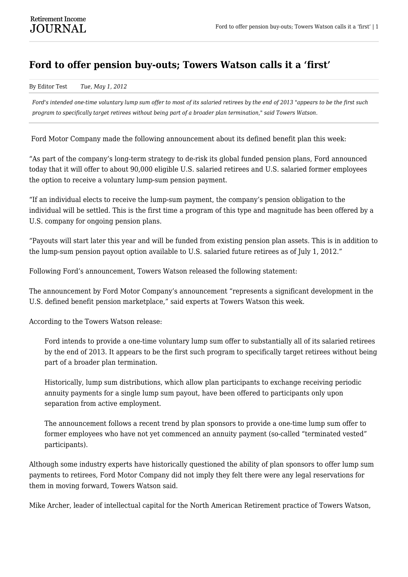## **Ford to offer pension buy-outs; Towers Watson calls it a 'first'**

By Editor Test *Tue, May 1, 2012*

*Ford's intended one-time voluntary lump sum offer to most of its salaried retirees by the end of 2013 "appears to be the first such program to specifically target retirees without being part of a broader plan termination," said Towers Watson.*

Ford Motor Company made the following announcement about its defined benefit plan this week:

"As part of the company's long-term strategy to de-risk its global funded pension plans, Ford announced today that it will offer to about 90,000 eligible U.S. salaried retirees and U.S. salaried former employees the option to receive a voluntary lump-sum pension payment.

"If an individual elects to receive the lump-sum payment, the company's pension obligation to the individual will be settled. This is the first time a program of this type and magnitude has been offered by a U.S. company for ongoing pension plans.

"Payouts will start later this year and will be funded from existing pension plan assets. This is in addition to the lump-sum pension payout option available to U.S. salaried future retirees as of July 1, 2012."

Following Ford's announcement, Towers Watson released the following statement:

The announcement by Ford Motor Company's announcement "represents a significant development in the U.S. defined benefit pension marketplace," said experts at Towers Watson this week.

According to the Towers Watson release:

Ford intends to provide a one-time voluntary lump sum offer to substantially all of its salaried retirees by the end of 2013. It appears to be the first such program to specifically target retirees without being part of a broader plan termination.

Historically, lump sum distributions, which allow plan participants to exchange receiving periodic annuity payments for a single lump sum payout, have been offered to participants only upon separation from active employment.

The announcement follows a recent trend by plan sponsors to provide a one-time lump sum offer to former employees who have not yet commenced an annuity payment (so-called "terminated vested" participants).

Although some industry experts have historically questioned the ability of plan sponsors to offer lump sum payments to retirees, Ford Motor Company did not imply they felt there were any legal reservations for them in moving forward, Towers Watson said.

Mike Archer, leader of intellectual capital for the North American Retirement practice of Towers Watson,